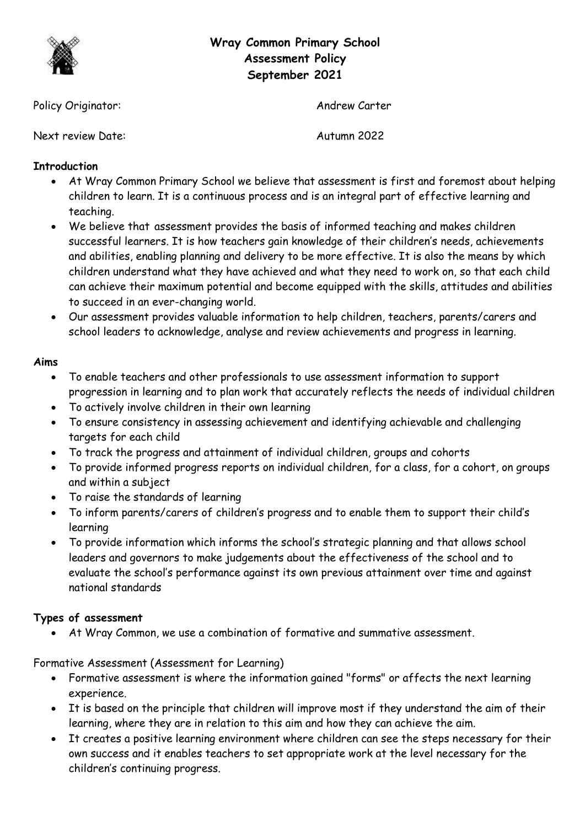

# **Wray Common Primary School Assessment Policy September 2021**

Policy Originator: Andrew Carter

Next review Date: Autumn 2022

# **Introduction**

- At Wray Common Primary School we believe that assessment is first and foremost about helping children to learn. It is a continuous process and is an integral part of effective learning and teaching.
- We believe that assessment provides the basis of informed teaching and makes children successful learners. It is how teachers gain knowledge of their children's needs, achievements and abilities, enabling planning and delivery to be more effective. It is also the means by which children understand what they have achieved and what they need to work on, so that each child can achieve their maximum potential and become equipped with the skills, attitudes and abilities to succeed in an ever-changing world.
- Our assessment provides valuable information to help children, teachers, parents/carers and school leaders to acknowledge, analyse and review achievements and progress in learning.

# **Aims**

- To enable teachers and other professionals to use assessment information to support progression in learning and to plan work that accurately reflects the needs of individual children
- To actively involve children in their own learning
- To ensure consistency in assessing achievement and identifying achievable and challenging targets for each child
- To track the progress and attainment of individual children, groups and cohorts
- To provide informed progress reports on individual children, for a class, for a cohort, on groups and within a subject
- To raise the standards of learning
- To inform parents/carers of children's progress and to enable them to support their child's learning
- To provide information which informs the school's strategic planning and that allows school leaders and governors to make judgements about the effectiveness of the school and to evaluate the school's performance against its own previous attainment over time and against national standards

# **Types of assessment**

At Wray Common, we use a combination of formative and summative assessment.

Formative Assessment (Assessment for Learning)

- Formative assessment is where the information gained "forms" or affects the next learning experience.
- It is based on the principle that children will improve most if they understand the aim of their learning, where they are in relation to this aim and how they can achieve the aim.
- It creates a positive learning environment where children can see the steps necessary for their own success and it enables teachers to set appropriate work at the level necessary for the children's continuing progress.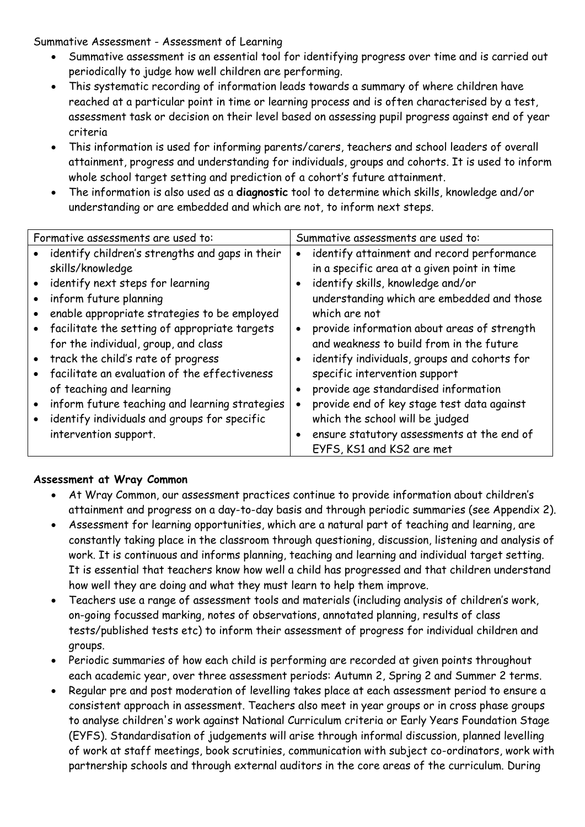Summative Assessment - Assessment of Learning

- Summative assessment is an essential tool for identifying progress over time and is carried out periodically to judge how well children are performing.
- This systematic recording of information leads towards a summary of where children have reached at a particular point in time or learning process and is often characterised by a test, assessment task or decision on their level based on assessing pupil progress against end of year criteria
- This information is used for informing parents/carers, teachers and school leaders of overall attainment, progress and understanding for individuals, groups and cohorts. It is used to inform whole school target setting and prediction of a cohort's future attainment.
- The information is also used as a **diagnostic** tool to determine which skills, knowledge and/or understanding or are embedded and which are not, to inform next steps.

| Formative assessments are used to:              | Summative assessments are used to:                        |
|-------------------------------------------------|-----------------------------------------------------------|
| identify children's strengths and gaps in their | identify attainment and record performance<br>$\bullet$   |
| skills/knowledge                                | in a specific area at a given point in time               |
| identify next steps for learning                | identify skills, knowledge and/or<br>$\bullet$            |
| inform future planning                          | understanding which are embedded and those                |
| enable appropriate strategies to be employed    | which are not                                             |
| • facilitate the setting of appropriate targets | provide information about areas of strength<br>$\bullet$  |
| for the individual, group, and class            | and weakness to build from in the future                  |
| • track the child's rate of progress            | identify individuals, groups and cohorts for<br>$\bullet$ |
| facilitate an evaluation of the effectiveness   | specific intervention support                             |
| of teaching and learning                        | provide age standardised information<br>$\bullet$         |
| inform future teaching and learning strategies  | provide end of key stage test data against<br>$\bullet$   |
| identify individuals and groups for specific    | which the school will be judged                           |
| intervention support.                           | ensure statutory assessments at the end of<br>$\bullet$   |
|                                                 | EYFS, KS1 and KS2 are met                                 |

# **Assessment at Wray Common**

- At Wray Common, our assessment practices continue to provide information about children's attainment and progress on a day-to-day basis and through periodic summaries (see Appendix 2).
- Assessment for learning opportunities, which are a natural part of teaching and learning, are constantly taking place in the classroom through questioning, discussion, listening and analysis of work. It is continuous and informs planning, teaching and learning and individual target setting. It is essential that teachers know how well a child has progressed and that children understand how well they are doing and what they must learn to help them improve.
- Teachers use a range of assessment tools and materials (including analysis of children's work, on-going focussed marking, notes of observations, annotated planning, results of class tests/published tests etc) to inform their assessment of progress for individual children and groups.
- Periodic summaries of how each child is performing are recorded at given points throughout each academic year, over three assessment periods: Autumn 2, Spring 2 and Summer 2 terms.
- Regular pre and post moderation of levelling takes place at each assessment period to ensure a consistent approach in assessment. Teachers also meet in year groups or in cross phase groups to analyse children's work against National Curriculum criteria or Early Years Foundation Stage (EYFS). Standardisation of judgements will arise through informal discussion, planned levelling of work at staff meetings, book scrutinies, communication with subject co-ordinators, work with partnership schools and through external auditors in the core areas of the curriculum. During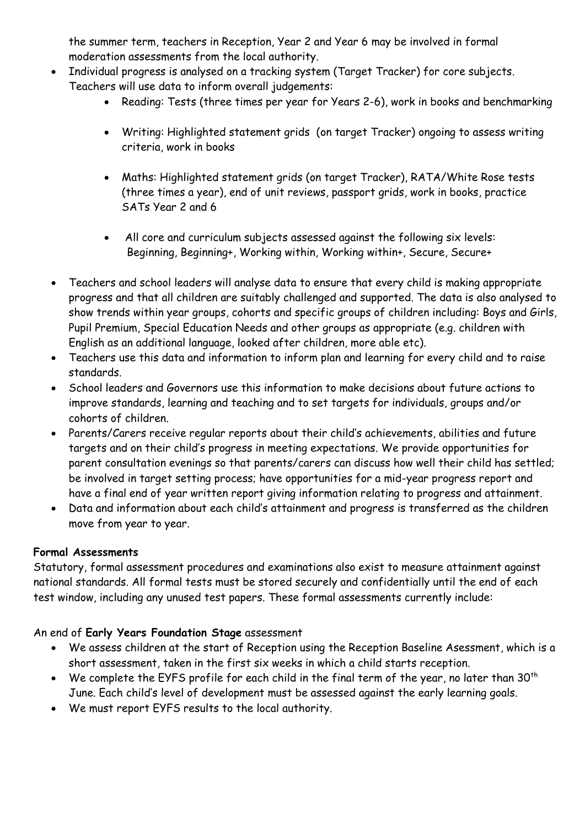the summer term, teachers in Reception, Year 2 and Year 6 may be involved in formal moderation assessments from the local authority.

- Individual progress is analysed on a tracking system (Target Tracker) for core subjects. Teachers will use data to inform overall judgements:
	- Reading: Tests (three times per year for Years 2-6), work in books and benchmarking
	- Writing: Highlighted statement grids (on target Tracker) ongoing to assess writing criteria, work in books
	- Maths: Highlighted statement grids (on target Tracker), RATA/White Rose tests (three times a year), end of unit reviews, passport grids, work in books, practice SATs Year 2 and 6
	- All core and curriculum subjects assessed against the following six levels: Beginning, Beginning+, Working within, Working within+, Secure, Secure+
- Teachers and school leaders will analyse data to ensure that every child is making appropriate progress and that all children are suitably challenged and supported. The data is also analysed to show trends within year groups, cohorts and specific groups of children including: Boys and Girls, Pupil Premium, Special Education Needs and other groups as appropriate (e.g. children with English as an additional language, looked after children, more able etc).
- Teachers use this data and information to inform plan and learning for every child and to raise standards.
- School leaders and Governors use this information to make decisions about future actions to improve standards, learning and teaching and to set targets for individuals, groups and/or cohorts of children.
- Parents/Carers receive regular reports about their child's achievements, abilities and future targets and on their child's progress in meeting expectations. We provide opportunities for parent consultation evenings so that parents/carers can discuss how well their child has settled; be involved in target setting process; have opportunities for a mid-year progress report and have a final end of year written report giving information relating to progress and attainment.
- Data and information about each child's attainment and progress is transferred as the children move from year to year.

# **Formal Assessments**

Statutory, formal assessment procedures and examinations also exist to measure attainment against national standards. All formal tests must be stored securely and confidentially until the end of each test window, including any unused test papers. These formal assessments currently include:

# An end of **Early Years Foundation Stage** assessment

- We assess children at the start of Reception using the Reception Baseline Asessment, which is a short assessment, taken in the first six weeks in which a child starts reception.
- $\bullet$  We complete the EYFS profile for each child in the final term of the year, no later than 30<sup>th</sup> June. Each child's level of development must be assessed against the early learning goals.
- We must report EYFS results to the local authority.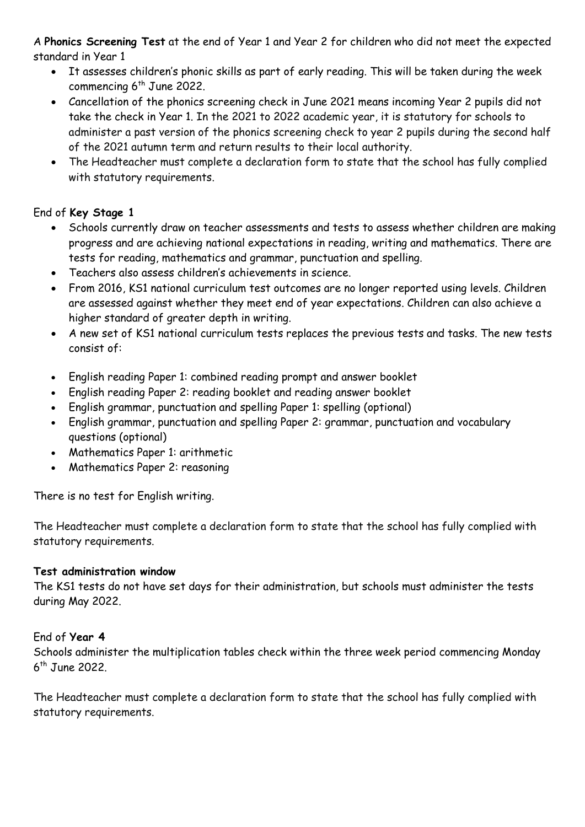A **Phonics Screening Test** at the end of Year 1 and Year 2 for children who did not meet the expected standard in Year 1

- It assesses children's phonic skills as part of early reading. This will be taken during the week commencing 6<sup>th</sup> June 2022.
- Cancellation of the phonics screening check in June 2021 means incoming Year 2 pupils did not take the check in Year 1. In the 2021 to 2022 academic year, it is statutory for schools to administer a past version of the phonics screening check to year 2 pupils during the second half of the 2021 autumn term and return results to their local authority.
- The Headteacher must complete a declaration form to state that the school has fully complied with statutory requirements.

# End of **Key Stage 1**

- Schools currently draw on teacher assessments and tests to assess whether children are making progress and are achieving national expectations in reading, writing and mathematics. There are tests for reading, mathematics and grammar, punctuation and spelling.
- Teachers also assess children's achievements in science.
- From 2016, KS1 national curriculum test outcomes are no longer reported using levels. Children are assessed against whether they meet end of year expectations. Children can also achieve a higher standard of greater depth in writing.
- A new set of KS1 national curriculum tests replaces the previous tests and tasks. The new tests consist of:
- English reading Paper 1: combined reading prompt and answer booklet
- English reading Paper 2: reading booklet and reading answer booklet
- English grammar, punctuation and spelling Paper 1: spelling (optional)
- English grammar, punctuation and spelling Paper 2: grammar, punctuation and vocabulary questions (optional)
- Mathematics Paper 1: arithmetic
- Mathematics Paper 2: reasoning

There is no test for English writing.

The Headteacher must complete a declaration form to state that the school has fully complied with statutory requirements.

# **Test administration window**

The KS1 tests do not have set days for their administration, but schools must administer the tests during May 2022.

# End of **Year 4**

Schools administer the multiplication tables check within the three week period commencing Monday 6 th June 2022.

The Headteacher must complete a declaration form to state that the school has fully complied with statutory requirements.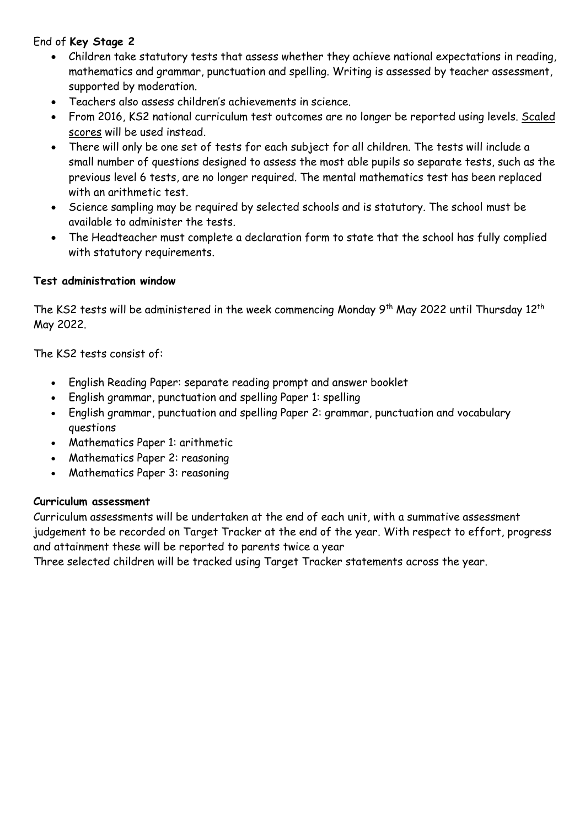# End of **Key Stage 2**

- Children take statutory tests that assess whether they achieve national expectations in reading, mathematics and grammar, punctuation and spelling. Writing is assessed by teacher assessment, supported by moderation.
- Teachers also assess children's achievements in science.
- From 2016, KS2 national curriculum test outcomes are no longer be reported using levels. [Scaled](https://www.gov.uk/scaled-scores)  [scores](https://www.gov.uk/scaled-scores) will be used instead.
- There will only be one set of tests for each subject for all children. The tests will include a small number of questions designed to assess the most able pupils so separate tests, such as the previous level 6 tests, are no longer required. The mental mathematics test has been replaced with an arithmetic test.
- Science sampling may be required by selected schools and is statutory. The school must be available to administer the tests.
- The Headteacher must complete a declaration form to state that the school has fully complied with statutory requirements.

# **Test administration window**

The KS2 tests will be administered in the week commencing Monday 9<sup>th</sup> May 2022 until Thursday 12<sup>th</sup> May 2022.

The KS2 tests consist of:

- English Reading Paper: separate reading prompt and answer booklet
- English grammar, punctuation and spelling Paper 1: spelling
- English grammar, punctuation and spelling Paper 2: grammar, punctuation and vocabulary questions
- Mathematics Paper 1: arithmetic
- Mathematics Paper 2: reasoning
- Mathematics Paper 3: reasoning

# **Curriculum assessment**

Curriculum assessments will be undertaken at the end of each unit, with a summative assessment judgement to be recorded on Target Tracker at the end of the year. With respect to effort, progress and attainment these will be reported to parents twice a year

Three selected children will be tracked using Target Tracker statements across the year.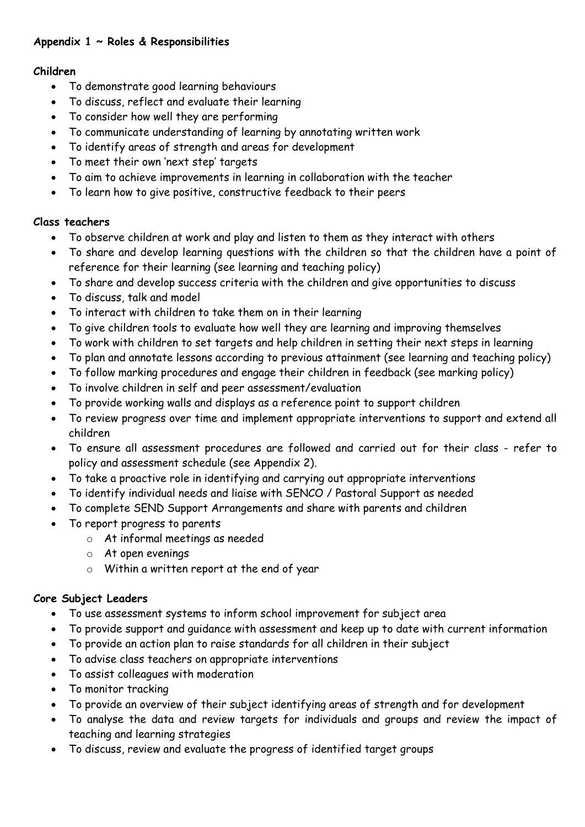# **Appendix 1 ~ Roles & Responsibilities**

#### **Children**

- To demonstrate good learning behaviours
- To discuss, reflect and evaluate their learning
- To consider how well they are performing
- To communicate understanding of learning by annotating written work
- To identify areas of strength and areas for development
- To meet their own 'next step' targets
- To aim to achieve improvements in learning in collaboration with the teacher
- To learn how to give positive, constructive feedback to their peers

# **Class teachers**

- To observe children at work and play and listen to them as they interact with others
- To share and develop learning questions with the children so that the children have a point of reference for their learning (see learning and teaching policy)
- To share and develop success criteria with the children and give opportunities to discuss
- To discuss, talk and model
- To interact with children to take them on in their learning
- To give children tools to evaluate how well they are learning and improving themselves
- To work with children to set targets and help children in setting their next steps in learning
- To plan and annotate lessons according to previous attainment (see learning and teaching policy)
- To follow marking procedures and engage their children in feedback (see marking policy)
- To involve children in self and peer assessment/evaluation
- To provide working walls and displays as a reference point to support children
- To review progress over time and implement appropriate interventions to support and extend all children
- To ensure all assessment procedures are followed and carried out for their class refer to policy and assessment schedule (see Appendix 2).
- To take a proactive role in identifying and carrying out appropriate interventions
- To identify individual needs and liaise with SENCO / Pastoral Support as needed
- To complete SEND Support Arrangements and share with parents and children
- To report progress to parents
	- o At informal meetings as needed
	- o At open evenings
	- o Within a written report at the end of year

# **Core Subject Leaders**

- To use assessment systems to inform school improvement for subject area
- To provide support and guidance with assessment and keep up to date with current information
- To provide an action plan to raise standards for all children in their subject
- To advise class teachers on appropriate interventions
- To assist colleagues with moderation
- To monitor tracking
- To provide an overview of their subject identifying areas of strength and for development
- To analyse the data and review targets for individuals and groups and review the impact of teaching and learning strategies
- To discuss, review and evaluate the progress of identified target groups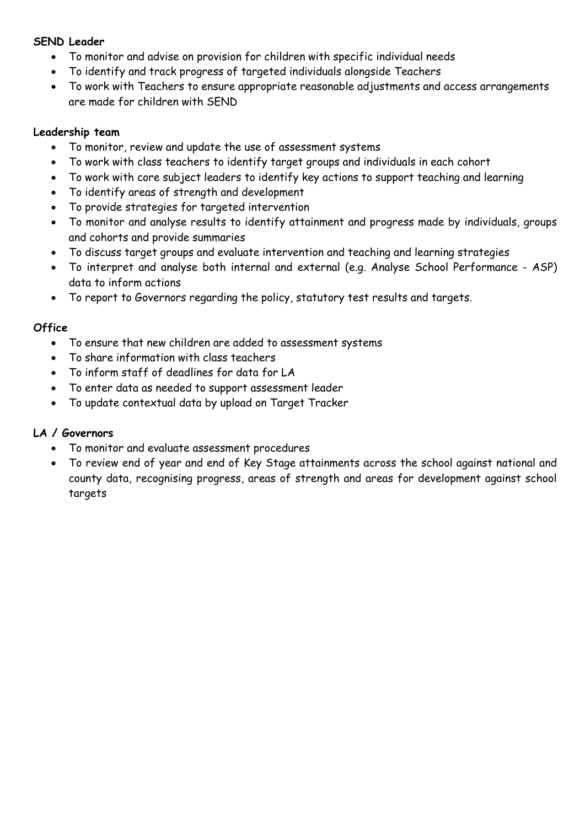#### **SEND Leader**

- To monitor and advise on provision for children with specific individual needs
- To identify and track progress of targeted individuals alongside Teachers
- To work with Teachers to ensure appropriate reasonable adjustments and access arrangements are made for children with SEND

#### **Leadership team**

- To monitor, review and update the use of assessment systems
- To work with class teachers to identify target groups and individuals in each cohort
- To work with core subject leaders to identify key actions to support teaching and learning
- To identify areas of strength and development
- To provide strategies for targeted intervention
- To monitor and analyse results to identify attainment and progress made by individuals, groups and cohorts and provide summaries
- To discuss target groups and evaluate intervention and teaching and learning strategies
- To interpret and analyse both internal and external (e.g. Analyse School Performance ASP) data to inform actions
- To report to Governors regarding the policy, statutory test results and targets.

#### **Office**

- To ensure that new children are added to assessment systems
- To share information with class teachers
- To inform staff of deadlines for data for LA
- To enter data as needed to support assessment leader
- To update contextual data by upload on Target Tracker

#### **LA / Governors**

- To monitor and evaluate assessment procedures
- To review end of year and end of Key Stage attainments across the school against national and county data, recognising progress, areas of strength and areas for development against school targets